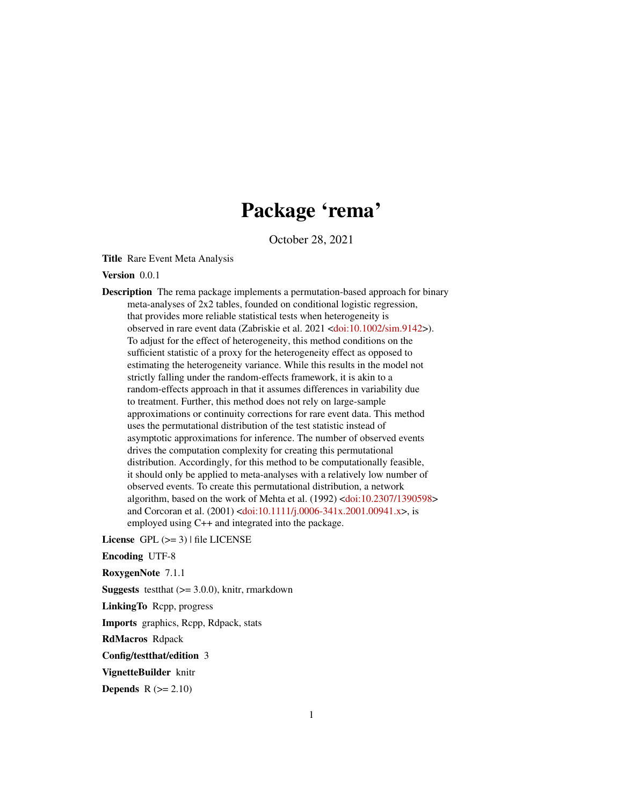# Package 'rema'

October 28, 2021

<span id="page-0-0"></span>Title Rare Event Meta Analysis

Version 0.0.1

Description The rema package implements a permutation-based approach for binary meta-analyses of 2x2 tables, founded on conditional logistic regression, that provides more reliable statistical tests when heterogeneity is observed in rare event data (Zabriskie et al. 2021 [<doi:10.1002/sim.9142>](https://doi.org/10.1002/sim.9142)). To adjust for the effect of heterogeneity, this method conditions on the sufficient statistic of a proxy for the heterogeneity effect as opposed to estimating the heterogeneity variance. While this results in the model not strictly falling under the random-effects framework, it is akin to a random-effects approach in that it assumes differences in variability due to treatment. Further, this method does not rely on large-sample approximations or continuity corrections for rare event data. This method uses the permutational distribution of the test statistic instead of asymptotic approximations for inference. The number of observed events drives the computation complexity for creating this permutational distribution. Accordingly, for this method to be computationally feasible, it should only be applied to meta-analyses with a relatively low number of observed events. To create this permutational distribution, a network algorithm, based on the work of Mehta et al. (1992) [<doi:10.2307/1390598>](https://doi.org/10.2307/1390598) and Corcoran et al. (2001) [<doi:10.1111/j.0006-341x.2001.00941.x>](https://doi.org/10.1111/j.0006-341x.2001.00941.x), is employed using C++ and integrated into the package.

License GPL  $(>= 3)$  | file LICENSE

Encoding UTF-8

RoxygenNote 7.1.1

**Suggests** test that  $(>= 3.0.0)$ , knitr, rmarkdown

LinkingTo Rcpp, progress

Imports graphics, Rcpp, Rdpack, stats

RdMacros Rdpack

Config/testthat/edition 3

VignetteBuilder knitr

Depends  $R (= 2.10)$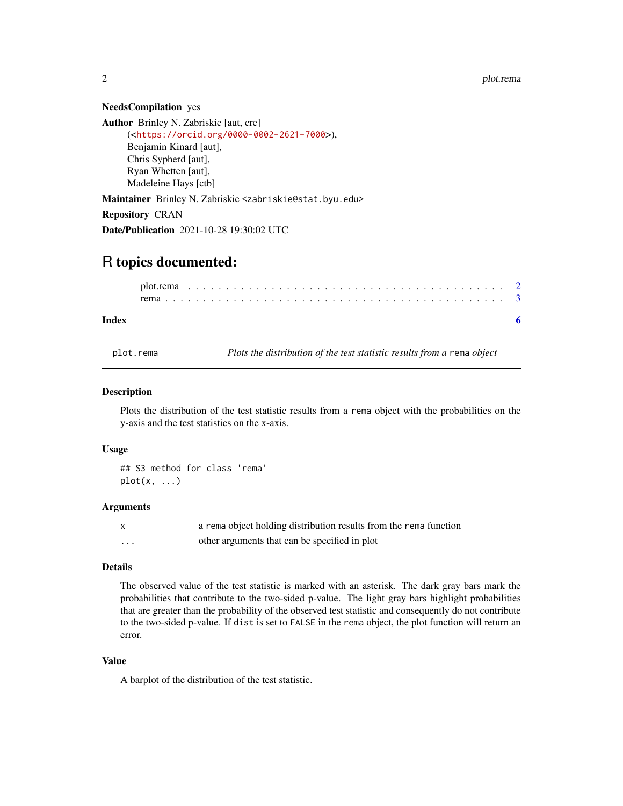#### NeedsCompilation yes

Author Brinley N. Zabriskie [aut, cre] (<<https://orcid.org/0000-0002-2621-7000>>), Benjamin Kinard [aut], Chris Sypherd [aut], Ryan Whetten [aut], Madeleine Hays [ctb]

Maintainer Brinley N. Zabriskie <zabriskie@stat.byu.edu>

Repository CRAN

Date/Publication 2021-10-28 19:30:02 UTC

# R topics documented:

#### **Index** [6](#page-5-0) **6**

plot.rema *Plots the distribution of the test statistic results from a* rema *object*

### Description

Plots the distribution of the test statistic results from a rema object with the probabilities on the y-axis and the test statistics on the x-axis.

# Usage

## S3 method for class 'rema'  $plot(x, \ldots)$ 

#### **Arguments**

|   | a rema object holding distribution results from the rema function |
|---|-------------------------------------------------------------------|
| . | other arguments that can be specified in plot                     |

# Details

The observed value of the test statistic is marked with an asterisk. The dark gray bars mark the probabilities that contribute to the two-sided p-value. The light gray bars highlight probabilities that are greater than the probability of the observed test statistic and consequently do not contribute to the two-sided p-value. If dist is set to FALSE in the rema object, the plot function will return an error.

# Value

A barplot of the distribution of the test statistic.

<span id="page-1-0"></span>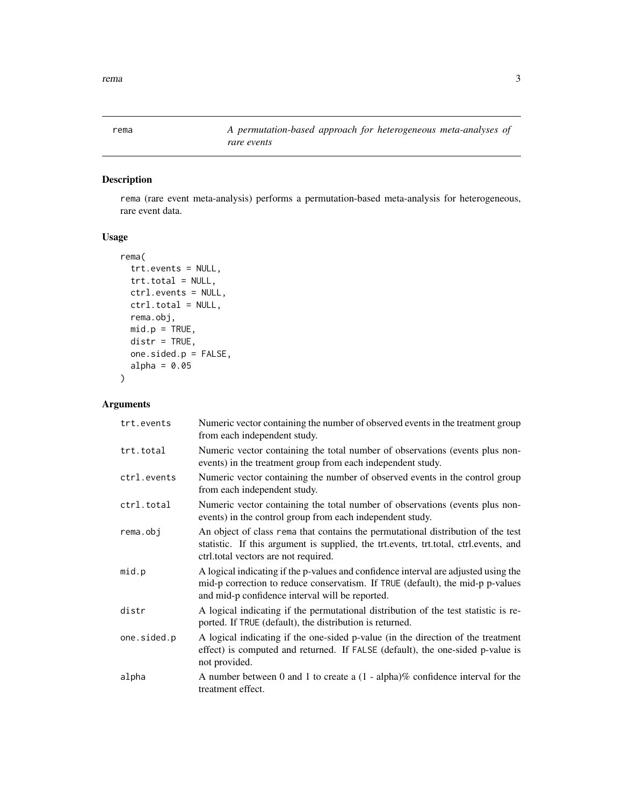<span id="page-2-0"></span>rema $\sim$  3

# Description

rema (rare event meta-analysis) performs a permutation-based meta-analysis for heterogeneous, rare event data.

# Usage

```
rema(
  trt.events = NULL,
 trt.total = NULL,
 ctrl.events = NULL,
 ctrl.total = NULL,
 rema.obj,
 mid.p = TRUE,distr = TRUE,
 one.sided.p = FALSE,
 alpha = 0.05)
```
# Arguments

| trt.events  | Numeric vector containing the number of observed events in the treatment group<br>from each independent study.                                                                                                           |
|-------------|--------------------------------------------------------------------------------------------------------------------------------------------------------------------------------------------------------------------------|
| trt.total   | Numeric vector containing the total number of observations (events plus non-<br>events) in the treatment group from each independent study.                                                                              |
| ctrl.events | Numeric vector containing the number of observed events in the control group<br>from each independent study.                                                                                                             |
| ctrl.total  | Numeric vector containing the total number of observations (events plus non-<br>events) in the control group from each independent study.                                                                                |
| rema.obj    | An object of class rema that contains the permutational distribution of the test<br>statistic. If this argument is supplied, the trt.events, trt.total, ctrl.events, and<br>ctrl.total vectors are not required.         |
| mid.p       | A logical indicating if the p-values and confidence interval are adjusted using the<br>mid-p correction to reduce conservatism. If TRUE (default), the mid-p p-values<br>and mid-p confidence interval will be reported. |
| distr       | A logical indicating if the permutational distribution of the test statistic is re-<br>ported. If TRUE (default), the distribution is returned.                                                                          |
| one.sided.p | A logical indicating if the one-sided p-value (in the direction of the treatment<br>effect) is computed and returned. If FALSE (default), the one-sided p-value is<br>not provided.                                      |
| alpha       | A number between 0 and 1 to create a $(1 - \alpha)$ alpha)% confidence interval for the<br>treatment effect.                                                                                                             |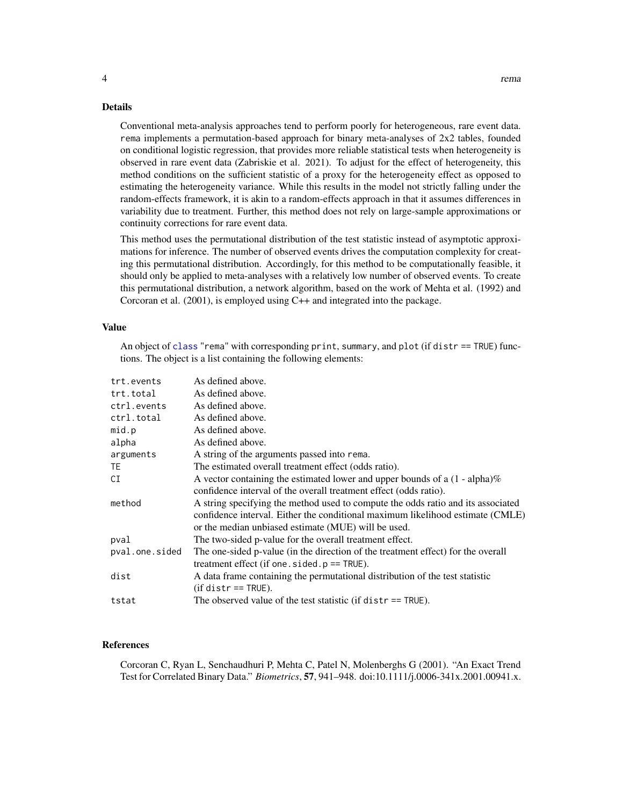## <span id="page-3-0"></span>Details

Conventional meta-analysis approaches tend to perform poorly for heterogeneous, rare event data. rema implements a permutation-based approach for binary meta-analyses of 2x2 tables, founded on conditional logistic regression, that provides more reliable statistical tests when heterogeneity is observed in rare event data (Zabriskie et al. 2021). To adjust for the effect of heterogeneity, this method conditions on the sufficient statistic of a proxy for the heterogeneity effect as opposed to estimating the heterogeneity variance. While this results in the model not strictly falling under the random-effects framework, it is akin to a random-effects approach in that it assumes differences in variability due to treatment. Further, this method does not rely on large-sample approximations or continuity corrections for rare event data.

This method uses the permutational distribution of the test statistic instead of asymptotic approximations for inference. The number of observed events drives the computation complexity for creating this permutational distribution. Accordingly, for this method to be computationally feasible, it should only be applied to meta-analyses with a relatively low number of observed events. To create this permutational distribution, a network algorithm, based on the work of Mehta et al. (1992) and Corcoran et al. (2001), is employed using C++ and integrated into the package.

#### Value

An object of [class](#page-0-0) "rema" with corresponding print, summary, and plot (if distr == TRUE) functions. The object is a list containing the following elements:

| trt.events     | As defined above.                                                                |
|----------------|----------------------------------------------------------------------------------|
| trt.total      | As defined above.                                                                |
| ctrl.events    | As defined above.                                                                |
| ctrl.total     | As defined above.                                                                |
| mid.p          | As defined above.                                                                |
| alpha          | As defined above.                                                                |
| arguments      | A string of the arguments passed into rema.                                      |
| TE.            | The estimated overall treatment effect (odds ratio).                             |
| CI             | A vector containing the estimated lower and upper bounds of a $(1 - alpha)\%$    |
|                | confidence interval of the overall treatment effect (odds ratio).                |
| method         | A string specifying the method used to compute the odds ratio and its associated |
|                | confidence interval. Either the conditional maximum likelihood estimate (CMLE)   |
|                | or the median unbiased estimate (MUE) will be used.                              |
| pval           | The two-sided p-value for the overall treatment effect.                          |
| pval.one.sided | The one-sided p-value (in the direction of the treatment effect) for the overall |
|                | treatment effect (if one $s$ ided $p == TRUE$ ).                                 |
| dist           | A data frame containing the permutational distribution of the test statistic     |
|                | $(if distr == TRUE).$                                                            |
| tstat          | The observed value of the test statistic (if $distr == TRUE$ ).                  |

# References

Corcoran C, Ryan L, Senchaudhuri P, Mehta C, Patel N, Molenberghs G (2001). "An Exact Trend Test for Correlated Binary Data." *Biometrics*, 57, 941–948. doi:10.1111/j.0006-341x.2001.00941.x.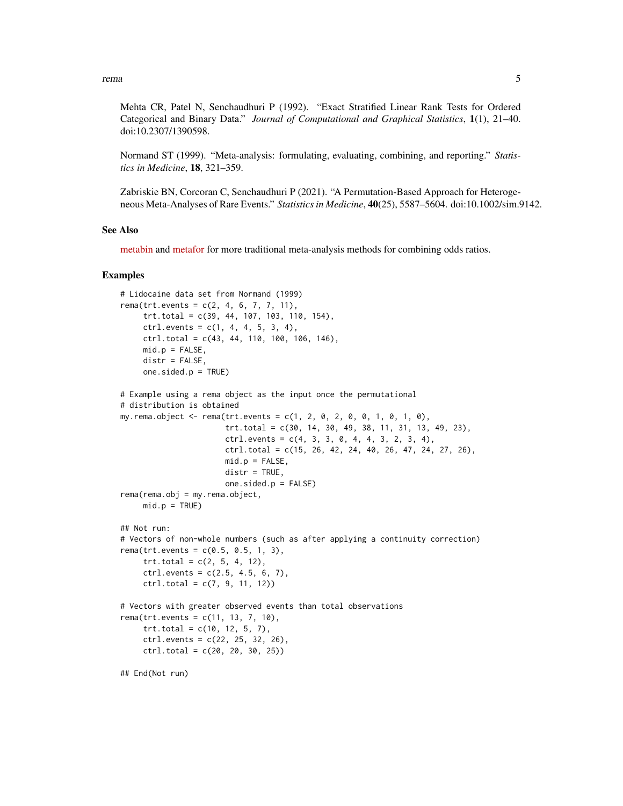rema $\sim$  5

Mehta CR, Patel N, Senchaudhuri P (1992). "Exact Stratified Linear Rank Tests for Ordered Categorical and Binary Data." *Journal of Computational and Graphical Statistics*, 1(1), 21–40. doi:10.2307/1390598.

Normand ST (1999). "Meta-analysis: formulating, evaluating, combining, and reporting." *Statistics in Medicine*, 18, 321–359.

Zabriskie BN, Corcoran C, Senchaudhuri P (2021). "A Permutation-Based Approach for Heterogeneous Meta-Analyses of Rare Events." *Statistics in Medicine*, 40(25), 5587–5604. doi:10.1002/sim.9142.

#### See Also

[metabin](https://www.rdocumentation.org/packages/meta/versions/4.15-1/topics/metabin) and [metafor](https://www.rdocumentation.org/packages/metafor/versions/2.4-0/topics/metafor-package) for more traditional meta-analysis methods for combining odds ratios.

### Examples

```
# Lidocaine data set from Normand (1999)
rema(trt.events = c(2, 4, 6, 7, 7, 11),
     trt.total = c(39, 44, 107, 103, 110, 154),
     ctrl. events = c(1, 4, 4, 5, 3, 4),ctrl.total = c(43, 44, 110, 100, 106, 146),
    mid.p = FALSE,distr = FALSE,
     one.sided.p = TRUE)
# Example using a rema object as the input once the permutational
# distribution is obtained
my.rema.object <- rema(trt.events = c(1, 2, 0, 2, 0, 0, 1, 0, 1, 0),
                       trt.total = c(30, 14, 30, 49, 38, 11, 31, 13, 49, 23),
                       ctrl. events = c(4, 3, 3, 0, 4, 4, 3, 2, 3, 4),ctrl.total = c(15, 26, 42, 24, 40, 26, 47, 24, 27, 26),mid.p = FALSE,distr = TRUE,one.sided.p = FALSE)
rema(rema.obj = my.rema.object,
    mid.p = TRUE)
## Not run:
# Vectors of non-whole numbers (such as after applying a continuity correction)
rema(trt.events = c(0.5, 0.5, 1, 3),trt. total = c(2, 5, 4, 12),ctrl. events = c(2.5, 4.5, 6, 7),ctrl.total = c(7, 9, 11, 12)# Vectors with greater observed events than total observations
rema(trt.events = c(11, 13, 7, 10),trt. total = c(10, 12, 5, 7),ctrl.events = c(22, 25, 32, 26),
     ctrl.total = c(20, 20, 30, 25)## End(Not run)
```